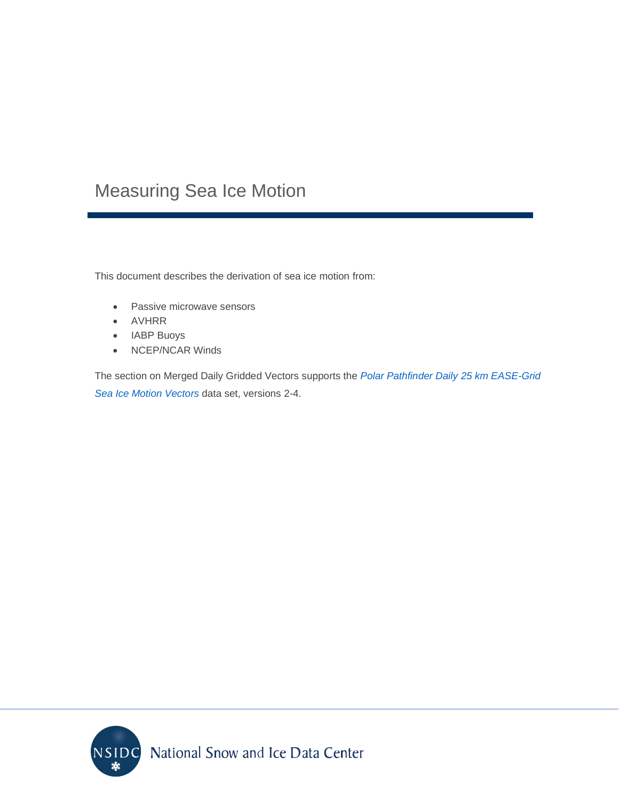## Measuring Sea Ice Motion

This document describes the derivation of sea ice motion from:

- Passive microwave sensors
- AVHRR
- IABP Buoys
- NCEP/NCAR Winds

The section on Merged Daily Gridded Vectors supports the *[Polar Pathfinder Daily 25 km EASE-Grid](https://nsidc.org/data/nsidc-0116/)  [Sea Ice Motion Vectors](https://nsidc.org/data/nsidc-0116/)* data set, versions 2-4.

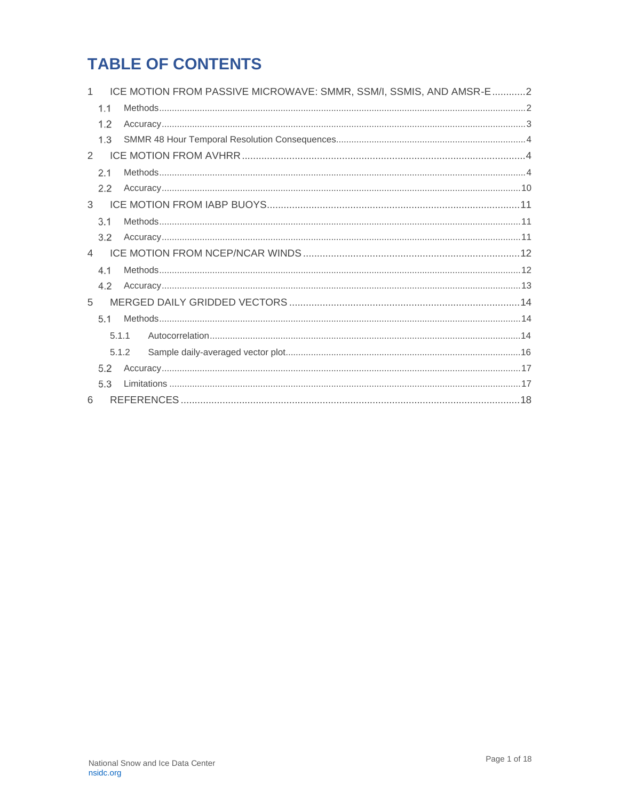## **TABLE OF CONTENTS**

|                |       | ICE MOTION FROM PASSIVE MICROWAVE: SMMR, SSM/I, SSMIS, AND AMSR-E 2 |  |  |  |  |
|----------------|-------|---------------------------------------------------------------------|--|--|--|--|
| 1.1            |       |                                                                     |  |  |  |  |
| 1.2            |       |                                                                     |  |  |  |  |
| 1.3            |       |                                                                     |  |  |  |  |
| $\mathcal{P}$  |       |                                                                     |  |  |  |  |
| 2.1            |       |                                                                     |  |  |  |  |
| 2.2            |       |                                                                     |  |  |  |  |
| 3              |       |                                                                     |  |  |  |  |
| 3.1            |       |                                                                     |  |  |  |  |
| 3.2            |       |                                                                     |  |  |  |  |
| $\overline{4}$ |       |                                                                     |  |  |  |  |
| 4.1            |       |                                                                     |  |  |  |  |
| 4.2            |       |                                                                     |  |  |  |  |
| 5              |       |                                                                     |  |  |  |  |
| 5.1            |       |                                                                     |  |  |  |  |
|                | 5.1.1 |                                                                     |  |  |  |  |
|                | 5.1.2 |                                                                     |  |  |  |  |
| 5.2            |       |                                                                     |  |  |  |  |
| 5.3            |       |                                                                     |  |  |  |  |
| 6              |       |                                                                     |  |  |  |  |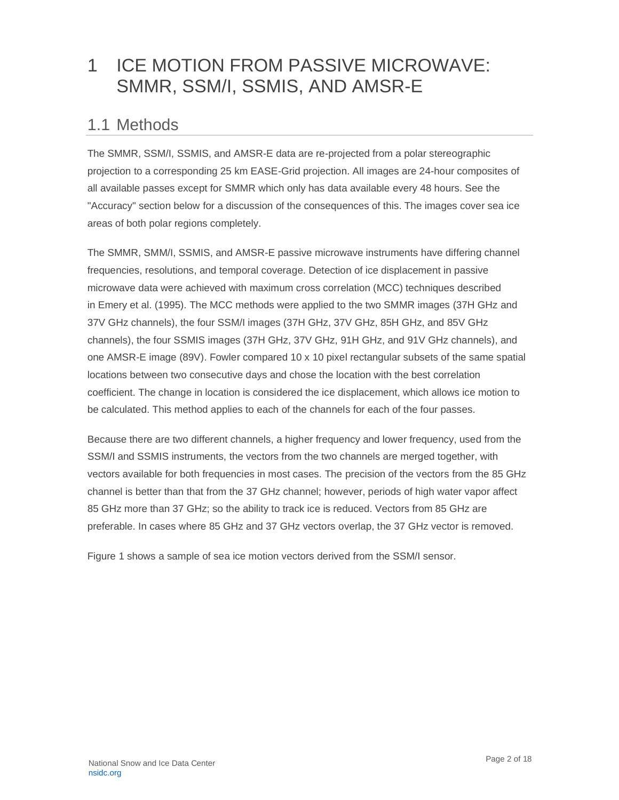## <span id="page-2-0"></span>1 ICE MOTION FROM PASSIVE MICROWAVE: SMMR, SSM/I, SSMIS, AND AMSR-E

#### <span id="page-2-1"></span>1.1 Methods

The SMMR, SSM/I, SSMIS, and AMSR-E data are re-projected from a polar stereographic projection to a corresponding 25 km EASE-Grid projection. All images are 24-hour composites of all available passes except for SMMR which only has data available every 48 hours. See the "Accuracy" section below for a discussion of the consequences of this. The images cover sea ice areas of both polar regions completely.

The SMMR, SMM/I, SSMIS, and AMSR-E passive microwave instruments have differing channel frequencies, resolutions, and temporal coverage. Detection of ice displacement in passive microwave data were achieved with maximum cross correlation (MCC) techniques described in Emery et al. (1995). The MCC methods were applied to the two SMMR images (37H GHz and 37V GHz channels), the four SSM/I images (37H GHz, 37V GHz, 85H GHz, and 85V GHz channels), the four SSMIS images (37H GHz, 37V GHz, 91H GHz, and 91V GHz channels), and one AMSR-E image (89V). Fowler compared 10 x 10 pixel rectangular subsets of the same spatial locations between two consecutive days and chose the location with the best correlation coefficient. The change in location is considered the ice displacement, which allows ice motion to be calculated. This method applies to each of the channels for each of the four passes.

Because there are two different channels, a higher frequency and lower frequency, used from the SSM/I and SSMIS instruments, the vectors from the two channels are merged together, with vectors available for both frequencies in most cases. The precision of the vectors from the 85 GHz channel is better than that from the 37 GHz channel; however, periods of high water vapor affect 85 GHz more than 37 GHz; so the ability to track ice is reduced. Vectors from 85 GHz are preferable. In cases where 85 GHz and 37 GHz vectors overlap, the 37 GHz vector is removed.

Figure 1 shows a sample of sea ice motion vectors derived from the SSM/I sensor.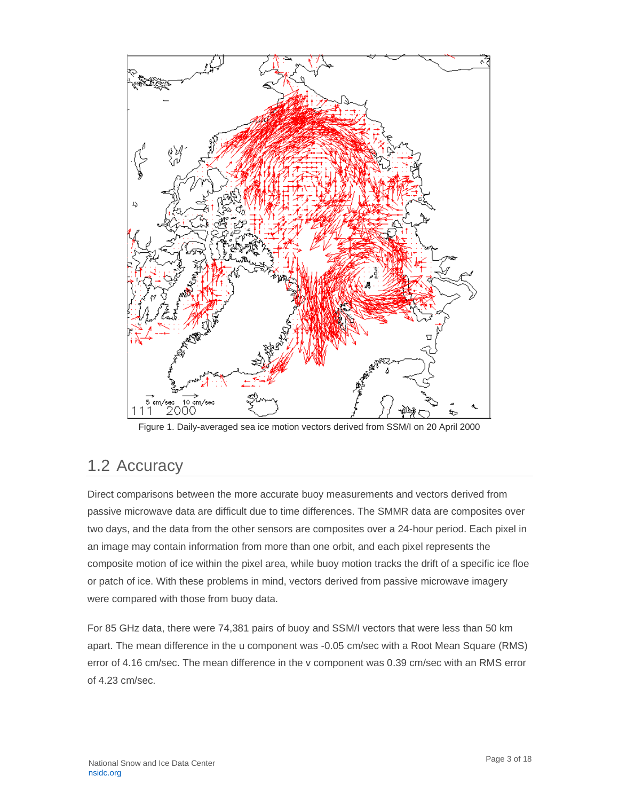

Figure 1. Daily-averaged sea ice motion vectors derived from SSM/I on 20 April 2000

### <span id="page-3-0"></span>1.2 Accuracy

Direct comparisons between the more accurate buoy measurements and vectors derived from passive microwave data are difficult due to time differences. The SMMR data are composites over two days, and the data from the other sensors are composites over a 24-hour period. Each pixel in an image may contain information from more than one orbit, and each pixel represents the composite motion of ice within the pixel area, while buoy motion tracks the drift of a specific ice floe or patch of ice. With these problems in mind, vectors derived from passive microwave imagery were compared with those from buoy data.

For 85 GHz data, there were 74,381 pairs of buoy and SSM/I vectors that were less than 50 km apart. The mean difference in the u component was -0.05 cm/sec with a Root Mean Square (RMS) error of 4.16 cm/sec. The mean difference in the v component was 0.39 cm/sec with an RMS error of 4.23 cm/sec.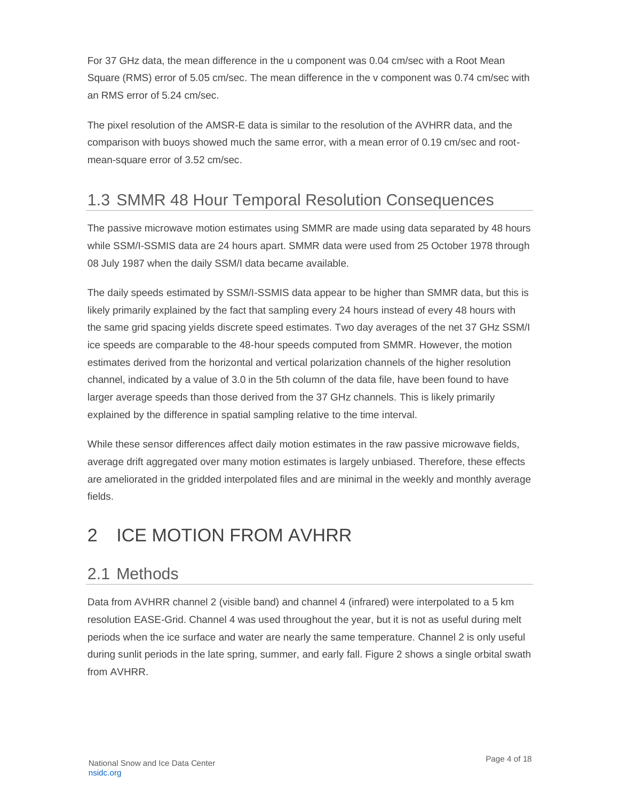For 37 GHz data, the mean difference in the u component was 0.04 cm/sec with a Root Mean Square (RMS) error of 5.05 cm/sec. The mean difference in the v component was 0.74 cm/sec with an RMS error of 5.24 cm/sec.

The pixel resolution of the AMSR-E data is similar to the resolution of the AVHRR data, and the comparison with buoys showed much the same error, with a mean error of 0.19 cm/sec and rootmean-square error of 3.52 cm/sec.

## <span id="page-4-0"></span>1.3 SMMR 48 Hour Temporal Resolution Consequences

The passive microwave motion estimates using SMMR are made using data separated by 48 hours while SSM/I-SSMIS data are 24 hours apart. SMMR data were used from 25 October 1978 through 08 July 1987 when the daily SSM/I data became available.

The daily speeds estimated by SSM/I-SSMIS data appear to be higher than SMMR data, but this is likely primarily explained by the fact that sampling every 24 hours instead of every 48 hours with the same grid spacing yields discrete speed estimates. Two day averages of the net 37 GHz SSM/I ice speeds are comparable to the 48-hour speeds computed from SMMR. However, the motion estimates derived from the horizontal and vertical polarization channels of the higher resolution channel, indicated by a value of 3.0 in the 5th column of the data file, have been found to have larger average speeds than those derived from the 37 GHz channels. This is likely primarily explained by the difference in spatial sampling relative to the time interval.

While these sensor differences affect daily motion estimates in the raw passive microwave fields, average drift aggregated over many motion estimates is largely unbiased. Therefore, these effects are ameliorated in the gridded interpolated files and are minimal in the weekly and monthly average fields.

## <span id="page-4-1"></span>2 ICE MOTION FROM AVHRR

### <span id="page-4-2"></span>2.1 Methods

Data from AVHRR channel 2 (visible band) and channel 4 (infrared) were interpolated to a 5 km resolution EASE-Grid. Channel 4 was used throughout the year, but it is not as useful during melt periods when the ice surface and water are nearly the same temperature. Channel 2 is only useful during sunlit periods in the late spring, summer, and early fall. Figure 2 shows a single orbital swath from AVHRR.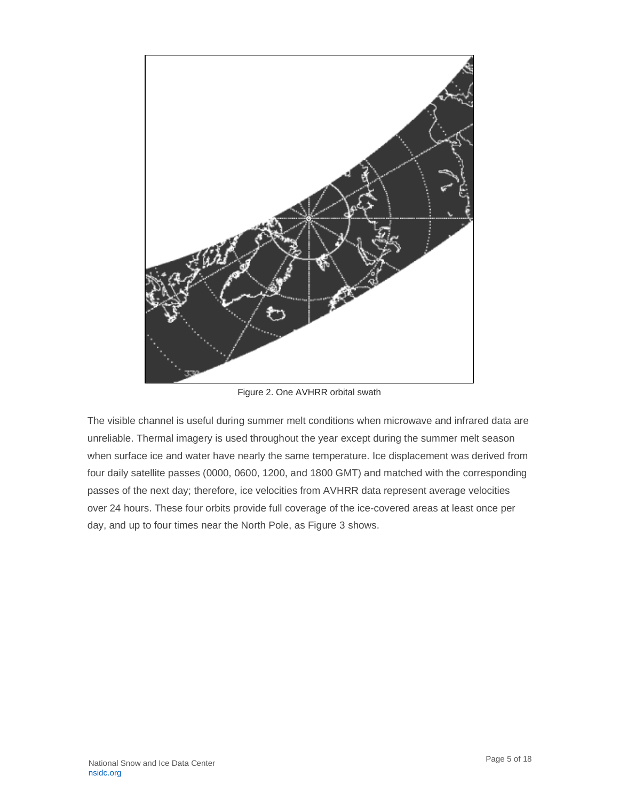

Figure 2. One AVHRR orbital swath

The visible channel is useful during summer melt conditions when microwave and infrared data are unreliable. Thermal imagery is used throughout the year except during the summer melt season when surface ice and water have nearly the same temperature. Ice displacement was derived from four daily satellite passes (0000, 0600, 1200, and 1800 GMT) and matched with the corresponding passes of the next day; therefore, ice velocities from AVHRR data represent average velocities over 24 hours. These four orbits provide full coverage of the ice-covered areas at least once per day, and up to four times near the North Pole, as Figure 3 shows.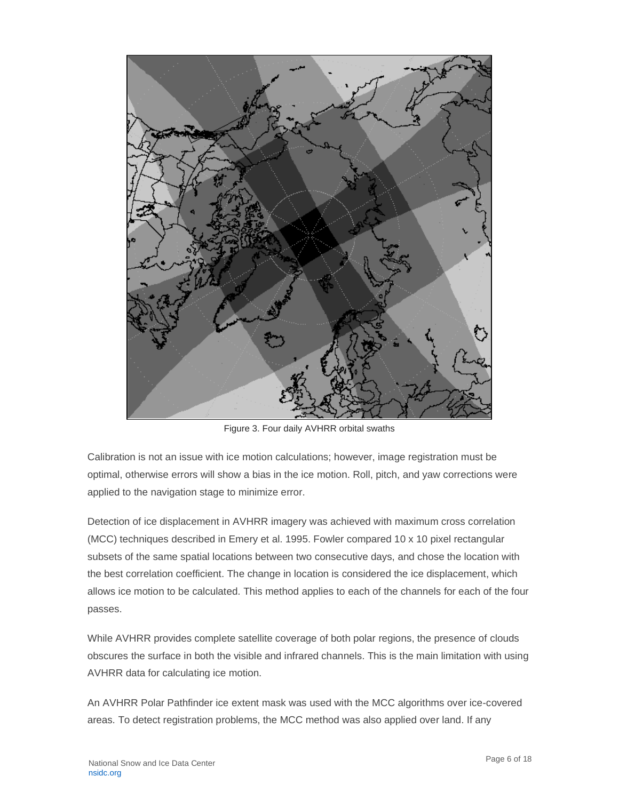

Figure 3. Four daily AVHRR orbital swaths

Calibration is not an issue with ice motion calculations; however, image registration must be optimal, otherwise errors will show a bias in the ice motion. Roll, pitch, and yaw corrections were applied to the navigation stage to minimize error.

Detection of ice displacement in AVHRR imagery was achieved with maximum cross correlation (MCC) techniques described in Emery et al. 1995. Fowler compared 10 x 10 pixel rectangular subsets of the same spatial locations between two consecutive days, and chose the location with the best correlation coefficient. The change in location is considered the ice displacement, which allows ice motion to be calculated. This method applies to each of the channels for each of the four passes.

While AVHRR provides complete satellite coverage of both polar regions, the presence of clouds obscures the surface in both the visible and infrared channels. This is the main limitation with using AVHRR data for calculating ice motion.

An AVHRR Polar Pathfinder ice extent mask was used with the MCC algorithms over ice-covered areas. To detect registration problems, the MCC method was also applied over land. If any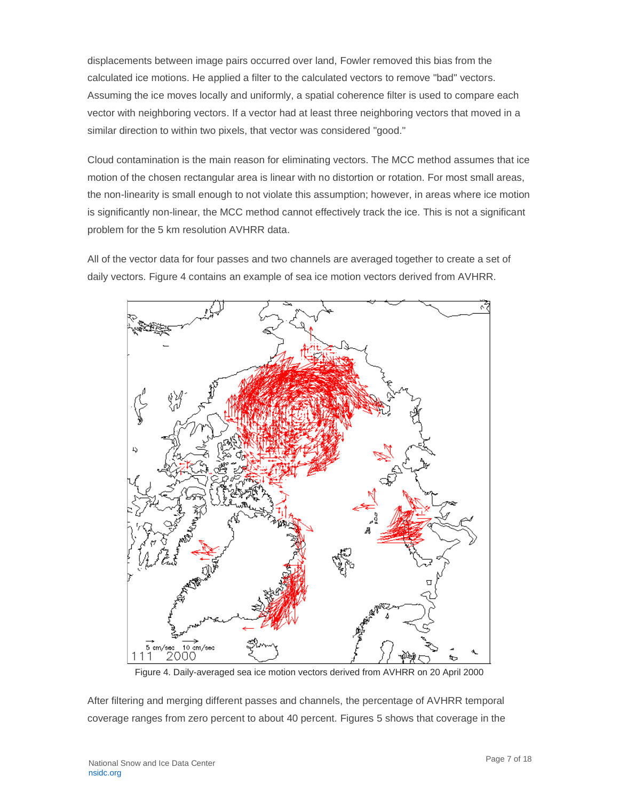displacements between image pairs occurred over land, Fowler removed this bias from the calculated ice motions. He applied a filter to the calculated vectors to remove "bad" vectors. Assuming the ice moves locally and uniformly, a spatial coherence filter is used to compare each vector with neighboring vectors. If a vector had at least three neighboring vectors that moved in a similar direction to within two pixels, that vector was considered "good."

Cloud contamination is the main reason for eliminating vectors. The MCC method assumes that ice motion of the chosen rectangular area is linear with no distortion or rotation. For most small areas, the non-linearity is small enough to not violate this assumption; however, in areas where ice motion is significantly non-linear, the MCC method cannot effectively track the ice. This is not a significant problem for the 5 km resolution AVHRR data.

All of the vector data for four passes and two channels are averaged together to create a set of daily vectors. Figure 4 contains an example of sea ice motion vectors derived from AVHRR.



Figure 4. Daily-averaged sea ice motion vectors derived from AVHRR on 20 April 2000

After filtering and merging different passes and channels, the percentage of AVHRR temporal coverage ranges from zero percent to about 40 percent. Figures 5 shows that coverage in the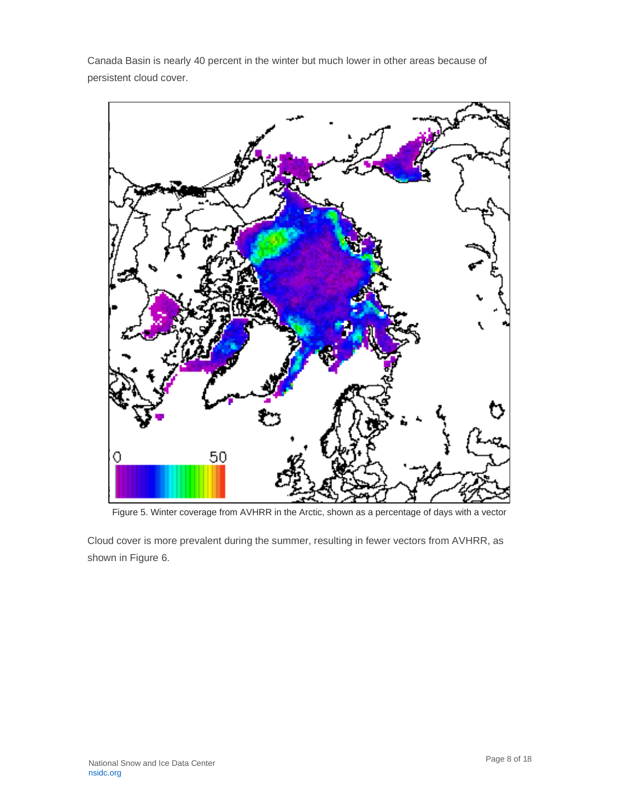Canada Basin is nearly 40 percent in the winter but much lower in other areas because of persistent cloud cover.



Figure 5. Winter coverage from AVHRR in the Arctic, shown as a percentage of days with a vector

Cloud cover is more prevalent during the summer, resulting in fewer vectors from AVHRR, as shown in Figure 6.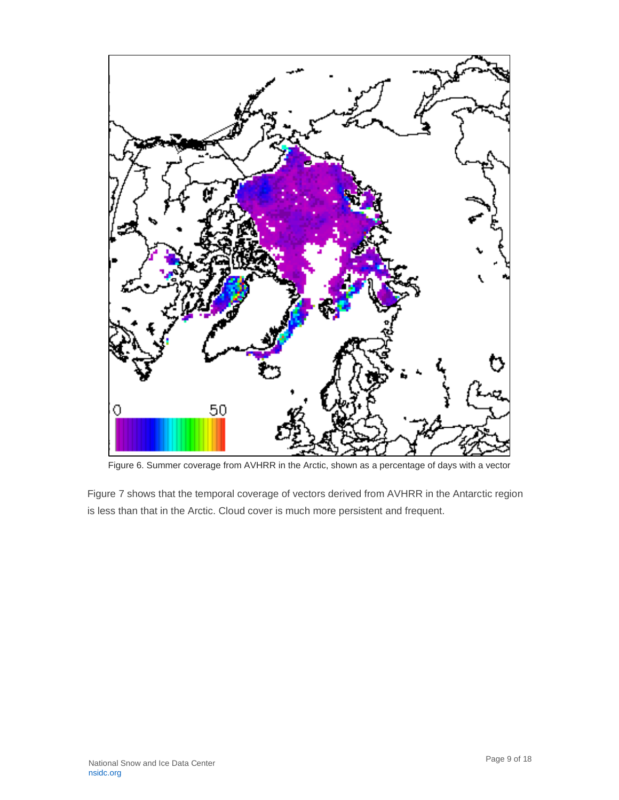

Figure 6. Summer coverage from AVHRR in the Arctic, shown as a percentage of days with a vector

Figure 7 shows that the temporal coverage of vectors derived from AVHRR in the Antarctic region is less than that in the Arctic. Cloud cover is much more persistent and frequent.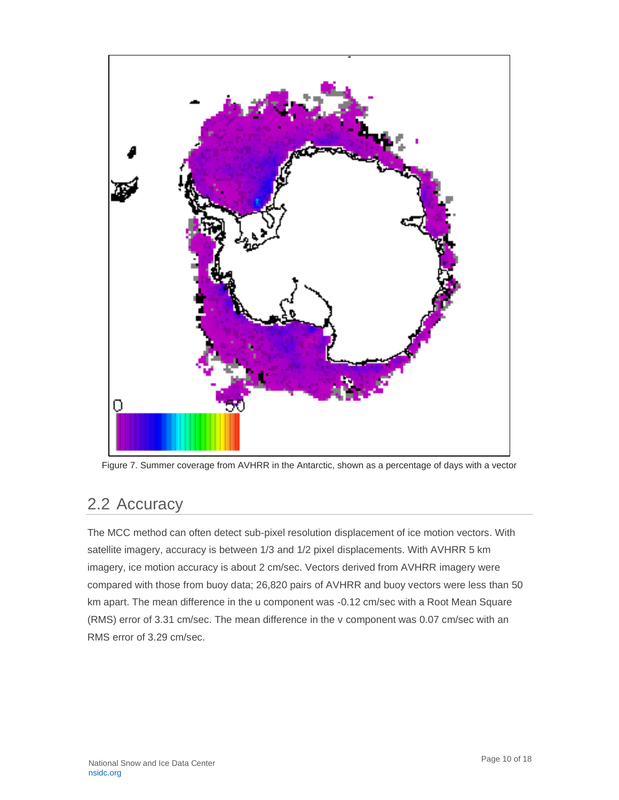

Figure 7. Summer coverage from AVHRR in the Antarctic, shown as a percentage of days with a vector

## <span id="page-10-0"></span>2.2 Accuracy

The MCC method can often detect sub-pixel resolution displacement of ice motion vectors. With satellite imagery, accuracy is between 1/3 and 1/2 pixel displacements. With AVHRR 5 km imagery, ice motion accuracy is about 2 cm/sec. Vectors derived from AVHRR imagery were compared with those from buoy data; 26,820 pairs of AVHRR and buoy vectors were less than 50 km apart. The mean difference in the u component was -0.12 cm/sec with a Root Mean Square (RMS) error of 3.31 cm/sec. The mean difference in the v component was 0.07 cm/sec with an RMS error of 3.29 cm/sec.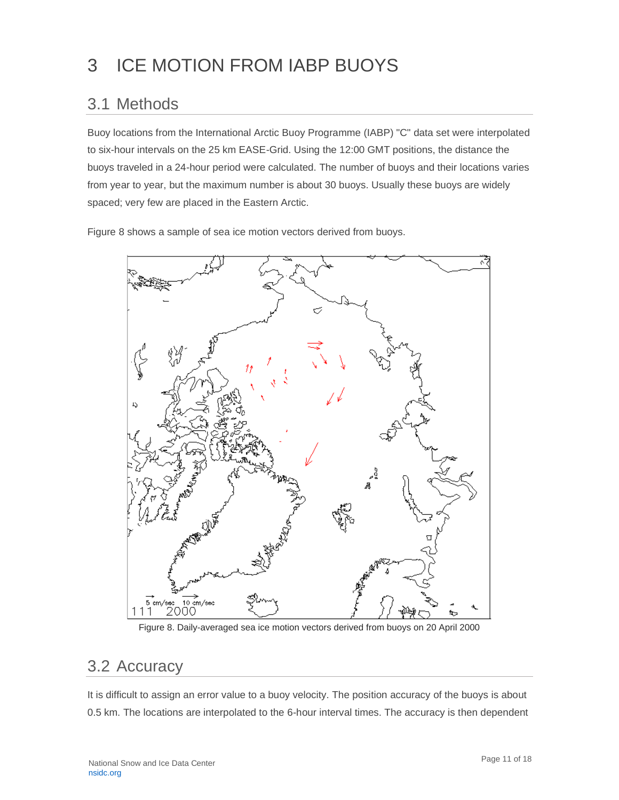## <span id="page-11-0"></span>3 ICE MOTION FROM IABP BUOYS

### <span id="page-11-1"></span>3.1 Methods

Buoy locations from the International Arctic Buoy Programme (IABP) "C" data set were interpolated to six-hour intervals on the 25 km EASE-Grid. Using the 12:00 GMT positions, the distance the buoys traveled in a 24-hour period were calculated. The number of buoys and their locations varies from year to year, but the maximum number is about 30 buoys. Usually these buoys are widely spaced; very few are placed in the Eastern Arctic.

Figure 8 shows a sample of sea ice motion vectors derived from buoys.



Figure 8. Daily-averaged sea ice motion vectors derived from buoys on 20 April 2000

#### <span id="page-11-2"></span>3.2 Accuracy

It is difficult to assign an error value to a buoy velocity. The position accuracy of the buoys is about 0.5 km. The locations are interpolated to the 6-hour interval times. The accuracy is then dependent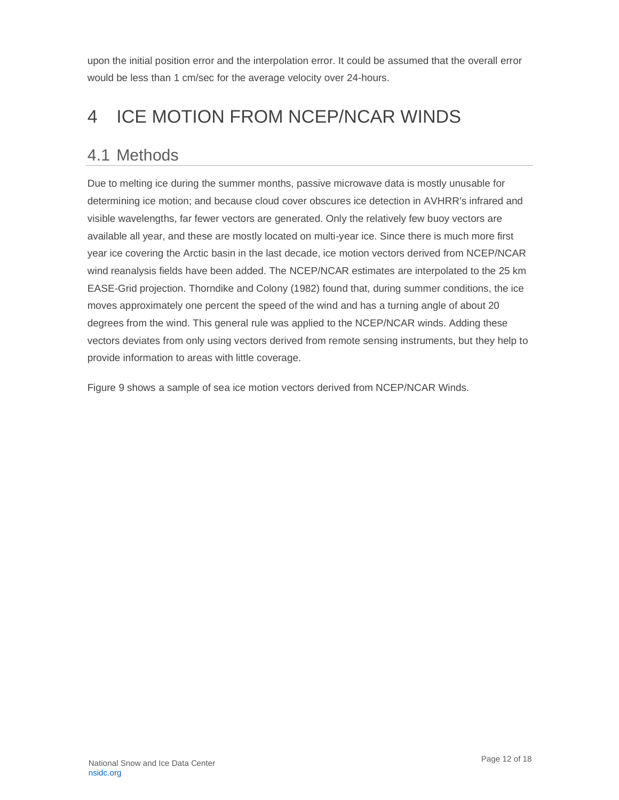upon the initial position error and the interpolation error. It could be assumed that the overall error would be less than 1 cm/sec for the average velocity over 24-hours.

# <span id="page-12-0"></span>4 ICE MOTION FROM NCEP/NCAR WINDS

#### <span id="page-12-1"></span>4.1 Methods

Due to melting ice during the summer months, passive microwave data is mostly unusable for determining ice motion; and because cloud cover obscures ice detection in AVHRR's infrared and visible wavelengths, far fewer vectors are generated. Only the relatively few buoy vectors are available all year, and these are mostly located on multi-year ice. Since there is much more first year ice covering the Arctic basin in the last decade, ice motion vectors derived from NCEP/NCAR wind reanalysis fields have been added. The NCEP/NCAR estimates are interpolated to the 25 km EASE-Grid projection. Thorndike and Colony (1982) found that, during summer conditions, the ice moves approximately one percent the speed of the wind and has a turning angle of about 20 degrees from the wind. This general rule was applied to the NCEP/NCAR winds. Adding these vectors deviates from only using vectors derived from remote sensing instruments, but they help to provide information to areas with little coverage.

Figure 9 shows a sample of sea ice motion vectors derived from NCEP/NCAR Winds.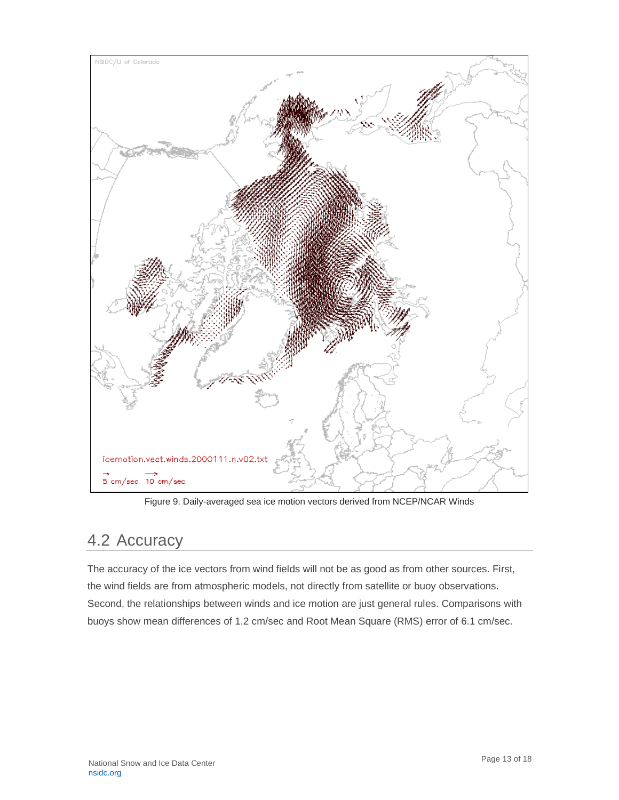

Figure 9. Daily-averaged sea ice motion vectors derived from NCEP/NCAR Winds

#### <span id="page-13-0"></span>4.2 Accuracy

The accuracy of the ice vectors from wind fields will not be as good as from other sources. First, the wind fields are from atmospheric models, not directly from satellite or buoy observations. Second, the relationships between winds and ice motion are just general rules. Comparisons with buoys show mean differences of 1.2 cm/sec and Root Mean Square (RMS) error of 6.1 cm/sec.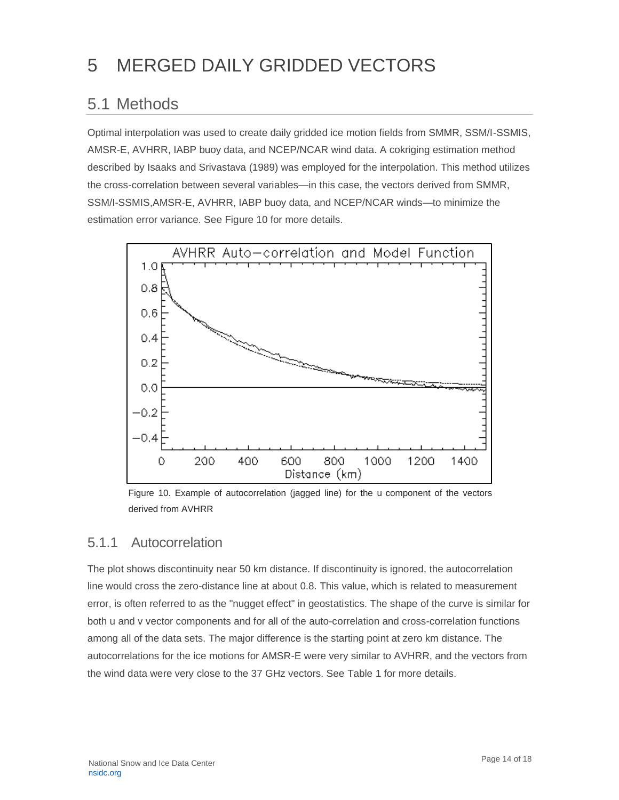# <span id="page-14-0"></span>5 MERGED DAILY GRIDDED VECTORS

## <span id="page-14-1"></span>5.1 Methods

Optimal interpolation was used to create daily gridded ice motion fields from SMMR, SSM/I-SSMIS, AMSR-E, AVHRR, IABP buoy data, and NCEP/NCAR wind data. A cokriging estimation method described by Isaaks and Srivastava (1989) was employed for the interpolation. This method utilizes the cross-correlation between several variables—in this case, the vectors derived from SMMR, SSM/I-SSMIS,AMSR-E, AVHRR, IABP buoy data, and NCEP/NCAR winds—to minimize the estimation error variance. See Figure 10 for more details.



Figure 10. Example of autocorrelation (jagged line) for the u component of the vectors derived from AVHRR

#### <span id="page-14-2"></span>5.1.1 Autocorrelation

The plot shows discontinuity near 50 km distance. If discontinuity is ignored, the autocorrelation line would cross the zero-distance line at about 0.8. This value, which is related to measurement error, is often referred to as the "nugget effect" in geostatistics. The shape of the curve is similar for both u and v vector components and for all of the auto-correlation and cross-correlation functions among all of the data sets. The major difference is the starting point at zero km distance. The autocorrelations for the ice motions for AMSR-E were very similar to AVHRR, and the vectors from the wind data were very close to the 37 GHz vectors. See Table 1 for more details.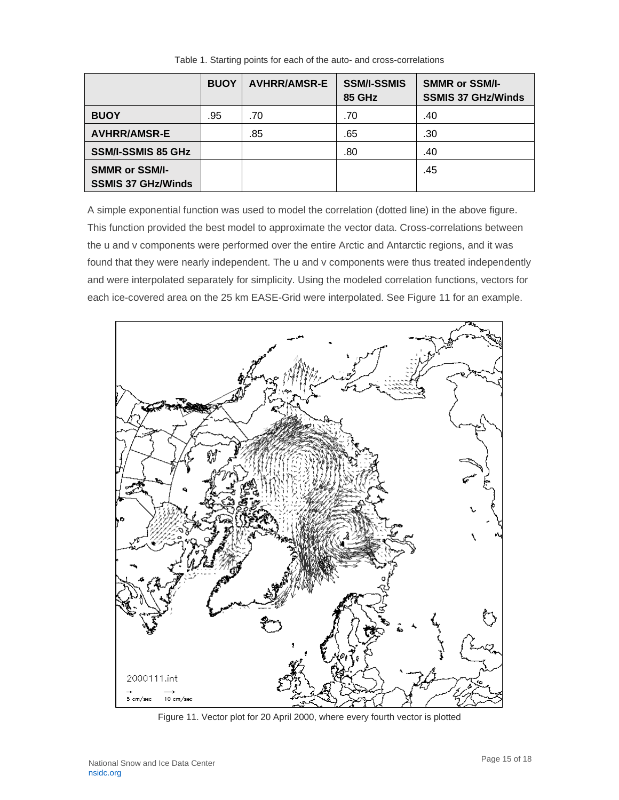|                                                    | <b>BUOY</b> | <b>AVHRR/AMSR-E</b> | <b>SSM/I-SSMIS</b><br><b>85 GHz</b> | <b>SMMR or SSM/I-</b><br><b>SSMIS 37 GHz/Winds</b> |
|----------------------------------------------------|-------------|---------------------|-------------------------------------|----------------------------------------------------|
| <b>BUOY</b>                                        | .95         | .70                 | .70                                 | .40                                                |
| <b>AVHRR/AMSR-E</b>                                |             | .85                 | .65                                 | .30                                                |
| <b>SSM/I-SSMIS 85 GHz</b>                          |             |                     | .80                                 | .40                                                |
| <b>SMMR or SSM/I-</b><br><b>SSMIS 37 GHz/Winds</b> |             |                     |                                     | .45                                                |

Table 1. Starting points for each of the auto- and cross-correlations

A simple exponential function was used to model the correlation (dotted line) in the above figure. This function provided the best model to approximate the vector data. Cross-correlations between the u and v components were performed over the entire Arctic and Antarctic regions, and it was found that they were nearly independent. The u and v components were thus treated independently and were interpolated separately for simplicity. Using the modeled correlation functions, vectors for each ice-covered area on the 25 km EASE-Grid were interpolated. See Figure 11 for an example.



Figure 11. Vector plot for 20 April 2000, where every fourth vector is plotted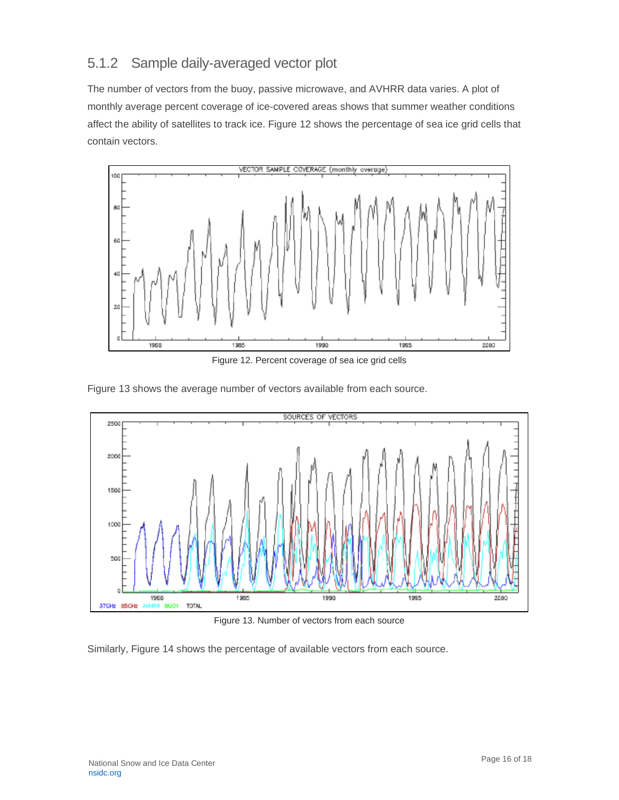#### <span id="page-16-0"></span>5.1.2 Sample daily-averaged vector plot

The number of vectors from the buoy, passive microwave, and AVHRR data varies. A plot of monthly average percent coverage of ice-covered areas shows that summer weather conditions affect the ability of satellites to track ice. Figure 12 shows the percentage of sea ice grid cells that contain vectors.



Figure 12. Percent coverage of sea ice grid cells

Figure 13 shows the average number of vectors available from each source.



Figure 13. Number of vectors from each source

Similarly, Figure 14 shows the percentage of available vectors from each source.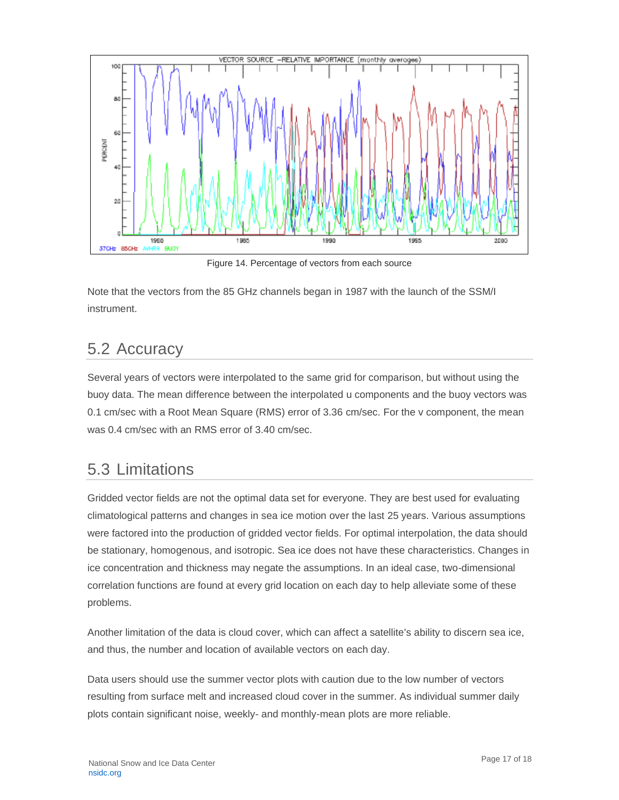

Figure 14. Percentage of vectors from each source

Note that the vectors from the 85 GHz channels began in 1987 with the launch of the SSM/I instrument.

### <span id="page-17-0"></span>5.2 Accuracy

Several years of vectors were interpolated to the same grid for comparison, but without using the buoy data. The mean difference between the interpolated u components and the buoy vectors was 0.1 cm/sec with a Root Mean Square (RMS) error of 3.36 cm/sec. For the v component, the mean was 0.4 cm/sec with an RMS error of 3.40 cm/sec.

## <span id="page-17-1"></span>5.3 Limitations

Gridded vector fields are not the optimal data set for everyone. They are best used for evaluating climatological patterns and changes in sea ice motion over the last 25 years. Various assumptions were factored into the production of gridded vector fields. For optimal interpolation, the data should be stationary, homogenous, and isotropic. Sea ice does not have these characteristics. Changes in ice concentration and thickness may negate the assumptions. In an ideal case, two-dimensional correlation functions are found at every grid location on each day to help alleviate some of these problems.

Another limitation of the data is cloud cover, which can affect a satellite's ability to discern sea ice, and thus, the number and location of available vectors on each day.

Data users should use the summer vector plots with caution due to the low number of vectors resulting from surface melt and increased cloud cover in the summer. As individual summer daily plots contain significant noise, weekly- and monthly-mean plots are more reliable.